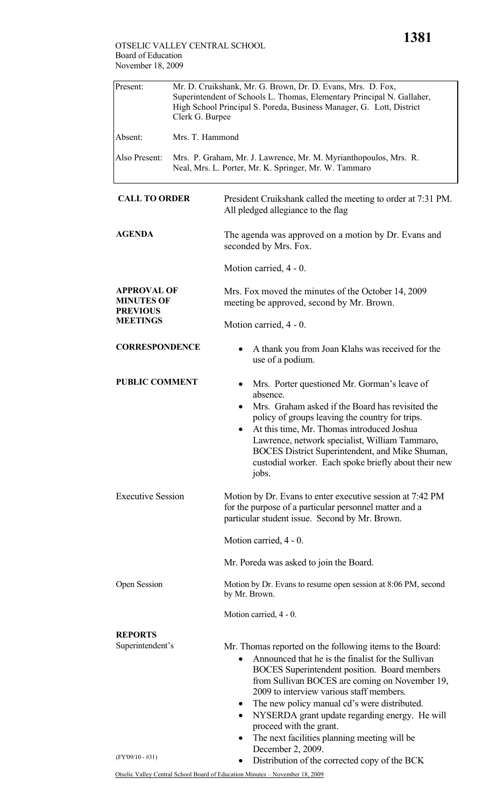| Present:                                                                      | Mr. D. Cruikshank, Mr. G. Brown, Dr. D. Evans, Mrs. D. Fox,<br>Superintendent of Schools L. Thomas, Elementary Principal N. Gallaher,<br>High School Principal S. Poreda, Business Manager, G. Lott, District<br>Clerk G. Burpee |                                                                                                                                                                                                                                                                                                                                                                                                                                                                                          |
|-------------------------------------------------------------------------------|----------------------------------------------------------------------------------------------------------------------------------------------------------------------------------------------------------------------------------|------------------------------------------------------------------------------------------------------------------------------------------------------------------------------------------------------------------------------------------------------------------------------------------------------------------------------------------------------------------------------------------------------------------------------------------------------------------------------------------|
| Absent:                                                                       | Mrs. T. Hammond                                                                                                                                                                                                                  |                                                                                                                                                                                                                                                                                                                                                                                                                                                                                          |
| Also Present:                                                                 | Mrs. P. Graham, Mr. J. Lawrence, Mr. M. Myrianthopoulos, Mrs. R.<br>Neal, Mrs. L. Porter, Mr. K. Springer, Mr. W. Tammaro                                                                                                        |                                                                                                                                                                                                                                                                                                                                                                                                                                                                                          |
| <b>CALL TO ORDER</b>                                                          |                                                                                                                                                                                                                                  | President Cruikshank called the meeting to order at 7:31 PM.<br>All pledged allegiance to the flag                                                                                                                                                                                                                                                                                                                                                                                       |
| <b>AGENDA</b>                                                                 |                                                                                                                                                                                                                                  | The agenda was approved on a motion by Dr. Evans and<br>seconded by Mrs. Fox.                                                                                                                                                                                                                                                                                                                                                                                                            |
|                                                                               |                                                                                                                                                                                                                                  | Motion carried, 4 - 0.                                                                                                                                                                                                                                                                                                                                                                                                                                                                   |
| <b>APPROVAL OF</b><br><b>MINUTES OF</b><br><b>PREVIOUS</b><br><b>MEETINGS</b> |                                                                                                                                                                                                                                  | Mrs. Fox moved the minutes of the October 14, 2009<br>meeting be approved, second by Mr. Brown.                                                                                                                                                                                                                                                                                                                                                                                          |
|                                                                               |                                                                                                                                                                                                                                  | Motion carried, 4 - 0.                                                                                                                                                                                                                                                                                                                                                                                                                                                                   |
| <b>CORRESPONDENCE</b>                                                         |                                                                                                                                                                                                                                  | A thank you from Joan Klahs was received for the<br>use of a podium.                                                                                                                                                                                                                                                                                                                                                                                                                     |
| <b>PUBLIC COMMENT</b>                                                         |                                                                                                                                                                                                                                  | Mrs. Porter questioned Mr. Gorman's leave of<br>absence.<br>Mrs. Graham asked if the Board has revisited the<br>policy of groups leaving the country for trips.<br>At this time, Mr. Thomas introduced Joshua<br>Lawrence, network specialist, William Tammaro,<br>BOCES District Superintendent, and Mike Shuman,<br>custodial worker. Each spoke briefly about their new<br>jobs.                                                                                                      |
| <b>Executive Session</b>                                                      |                                                                                                                                                                                                                                  | Motion by Dr. Evans to enter executive session at 7:42 PM<br>for the purpose of a particular personnel matter and a<br>particular student issue. Second by Mr. Brown.                                                                                                                                                                                                                                                                                                                    |
|                                                                               |                                                                                                                                                                                                                                  | Motion carried, 4 - 0.                                                                                                                                                                                                                                                                                                                                                                                                                                                                   |
|                                                                               |                                                                                                                                                                                                                                  | Mr. Poreda was asked to join the Board.                                                                                                                                                                                                                                                                                                                                                                                                                                                  |
| Open Session                                                                  |                                                                                                                                                                                                                                  | Motion by Dr. Evans to resume open session at 8:06 PM, second<br>by Mr. Brown.                                                                                                                                                                                                                                                                                                                                                                                                           |
|                                                                               |                                                                                                                                                                                                                                  | Motion carried, 4 - 0.                                                                                                                                                                                                                                                                                                                                                                                                                                                                   |
| <b>REPORTS</b><br>Superintendent's                                            |                                                                                                                                                                                                                                  | Mr. Thomas reported on the following items to the Board:<br>Announced that he is the finalist for the Sullivan<br>BOCES Superintendent position. Board members<br>from Sullivan BOCES are coming on November 19,<br>2009 to interview various staff members.<br>The new policy manual cd's were distributed.<br>$\bullet$<br>NYSERDA grant update regarding energy. He will<br>$\bullet$<br>proceed with the grant.<br>The next facilities planning meeting will be<br>December 2, 2009. |
| $(FY'09/10 - #31)$                                                            |                                                                                                                                                                                                                                  | Distribution of the corrected copy of the BCK<br>٠                                                                                                                                                                                                                                                                                                                                                                                                                                       |
|                                                                               |                                                                                                                                                                                                                                  | Otselic Valley Central School Board of Education Minutes - November 18, 2009                                                                                                                                                                                                                                                                                                                                                                                                             |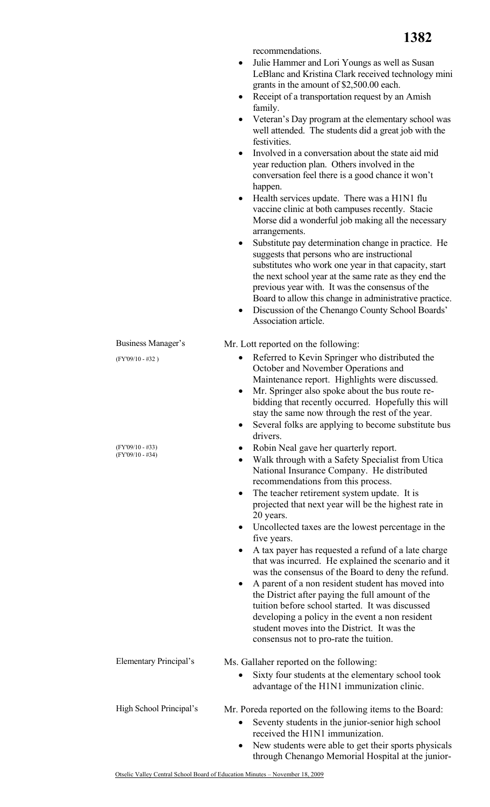**1382**

|                                          | Julie Hammer and Lori Youngs as well as Susan<br>LeBlanc and Kristina Clark received technology mini<br>grants in the amount of \$2,500.00 each.                                                                                                                                                                                                                                                                                                                                                          |
|------------------------------------------|-----------------------------------------------------------------------------------------------------------------------------------------------------------------------------------------------------------------------------------------------------------------------------------------------------------------------------------------------------------------------------------------------------------------------------------------------------------------------------------------------------------|
|                                          | Receipt of a transportation request by an Amish<br>family.                                                                                                                                                                                                                                                                                                                                                                                                                                                |
|                                          | Veteran's Day program at the elementary school was<br>well attended. The students did a great job with the<br>festivities.                                                                                                                                                                                                                                                                                                                                                                                |
|                                          | Involved in a conversation about the state aid mid<br>$\bullet$<br>year reduction plan. Others involved in the<br>conversation feel there is a good chance it won't<br>happen.                                                                                                                                                                                                                                                                                                                            |
|                                          | Health services update. There was a H1N1 flu<br>$\bullet$<br>vaccine clinic at both campuses recently. Stacie<br>Morse did a wonderful job making all the necessary                                                                                                                                                                                                                                                                                                                                       |
|                                          | arrangements.<br>Substitute pay determination change in practice. He<br>٠<br>suggests that persons who are instructional<br>substitutes who work one year in that capacity, start<br>the next school year at the same rate as they end the<br>previous year with. It was the consensus of the<br>Board to allow this change in administrative practice.<br>Discussion of the Chenango County School Boards'<br>٠<br>Association article.                                                                  |
| Business Manager's                       | Mr. Lott reported on the following:                                                                                                                                                                                                                                                                                                                                                                                                                                                                       |
| $(FY'09/10 - #32)$                       | Referred to Kevin Springer who distributed the<br>$\bullet$<br>October and November Operations and<br>Maintenance report. Highlights were discussed.<br>Mr. Springer also spoke about the bus route re-<br>٠<br>bidding that recently occurred. Hopefully this will<br>stay the same now through the rest of the year.<br>Several folks are applying to become substitute bus<br>٠<br>drivers.                                                                                                            |
| $(FY'09/10 - #33)$<br>$(FY'09/10 - #34)$ | Robin Neal gave her quarterly report.<br>Walk through with a Safety Specialist from Utica<br>$\bullet$<br>National Insurance Company. He distributed<br>recommendations from this process.                                                                                                                                                                                                                                                                                                                |
|                                          | The teacher retirement system update. It is<br>$\bullet$<br>projected that next year will be the highest rate in<br>20 years.<br>Uncollected taxes are the lowest percentage in the<br>٠                                                                                                                                                                                                                                                                                                                  |
|                                          | five years.<br>A tax payer has requested a refund of a late charge<br>$\bullet$<br>that was incurred. He explained the scenario and it<br>was the consensus of the Board to deny the refund.<br>A parent of a non resident student has moved into<br>٠<br>the District after paying the full amount of the<br>tuition before school started. It was discussed<br>developing a policy in the event a non resident<br>student moves into the District. It was the<br>consensus not to pro-rate the tuition. |
| Elementary Principal's                   | Ms. Gallaher reported on the following:                                                                                                                                                                                                                                                                                                                                                                                                                                                                   |
|                                          | Sixty four students at the elementary school took<br>$\bullet$<br>advantage of the H1N1 immunization clinic.                                                                                                                                                                                                                                                                                                                                                                                              |
| High School Principal's                  | Mr. Poreda reported on the following items to the Board:<br>Seventy students in the junior-senior high school<br>$\bullet$<br>received the H1N1 immunization.<br>New students were able to get their sports physicals<br>through Chenango Memorial Hospital at the junior-                                                                                                                                                                                                                                |

recommendations.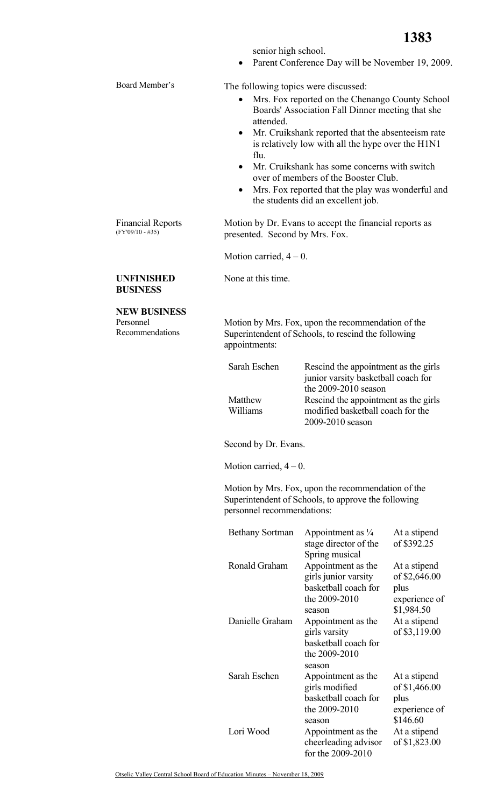**1383**

|  | senior high school. |
|--|---------------------|
|  |                     |

• Parent Conference Day will be November 19, 2009.

Board Member's The following topics were discussed:

- Mrs. Fox reported on the Chenango County School Boards' Association Fall Dinner meeting that she attended.
- Mr. Cruikshank reported that the absenteeism rate is relatively low with all the hype over the H1N1 flu.
- Mr. Cruikshank has some concerns with switch over of members of the Booster Club.
- Mrs. Fox reported that the play was wonderful and the students did an excellent job.

Motion by Dr. Evans to accept the financial reports as presented. Second by Mrs. Fox.

Motion carried,  $4 - 0$ .

None at this time.

## **UNFINISHED BUSINESS**

Financial Reports (FY'09/10 - #35)

**NEW BUSINESS** 

Personnel Recommendations Motion by Mrs. Fox, upon the recommendation of the Superintendent of Schools, to rescind the following appointments:

| Sarah Eschen | Rescind the appointment as the girls |
|--------------|--------------------------------------|
|              | junior varsity basketball coach for  |
|              | the 2009-2010 season                 |
| Matthew      | Rescind the appointment as the girls |
| Williams     | modified basketball coach for the    |
|              | 2009-2010 season                     |

Second by Dr. Evans.

Motion carried,  $4 - 0$ .

Motion by Mrs. Fox, upon the recommendation of the Superintendent of Schools, to approve the following personnel recommendations:

| <b>Bethany Sortman</b> | Appointment as $\frac{1}{4}$ | At a stipend  |
|------------------------|------------------------------|---------------|
|                        | stage director of the        | of \$392.25   |
|                        | Spring musical               |               |
| Ronald Graham          | Appointment as the           | At a stipend  |
|                        | girls junior varsity         | of \$2,646.00 |
|                        | basketball coach for         | plus          |
|                        | the 2009-2010                | experience of |
|                        | season                       | \$1,984.50    |
| Danielle Graham        | Appointment as the           | At a stipend  |
|                        | girls varsity                | of \$3,119.00 |
|                        | basketball coach for         |               |
|                        | the 2009-2010                |               |
|                        | season                       |               |
| Sarah Eschen           | Appointment as the           | At a stipend  |
|                        | girls modified               | of \$1,466.00 |
|                        | basketball coach for         | plus          |
|                        | the 2009-2010                | experience of |
|                        | season                       | \$146.60      |
| Lori Wood              | Appointment as the           | At a stipend  |
|                        | cheerleading advisor         | of \$1,823.00 |
|                        | for the 2009-2010            |               |

Otselic Valley Central School Board of Education Minutes – November 18, 2009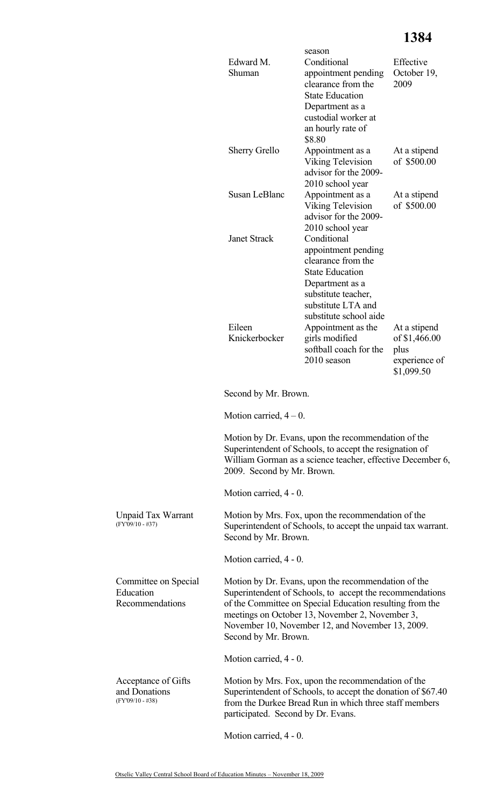|                                                            | Edward M.<br>Shuman                | season<br>Conditional<br>appointment pending<br>clearance from the<br><b>State Education</b><br>Department as a<br>custodial worker at<br>an hourly rate of<br>\$8.80                                                                                                              | Effective<br>October 19,<br>2009                                     |
|------------------------------------------------------------|------------------------------------|------------------------------------------------------------------------------------------------------------------------------------------------------------------------------------------------------------------------------------------------------------------------------------|----------------------------------------------------------------------|
|                                                            | <b>Sherry Grello</b>               | Appointment as a<br><b>Viking Television</b><br>advisor for the 2009-<br>2010 school year                                                                                                                                                                                          | At a stipend<br>of \$500.00                                          |
|                                                            | Susan LeBlanc                      | Appointment as a<br><b>Viking Television</b><br>advisor for the 2009-<br>2010 school year                                                                                                                                                                                          | At a stipend<br>of \$500.00                                          |
|                                                            | <b>Janet Strack</b>                | Conditional<br>appointment pending<br>clearance from the<br><b>State Education</b><br>Department as a<br>substitute teacher,<br>substitute LTA and<br>substitute school aide                                                                                                       |                                                                      |
|                                                            | Eileen<br>Knickerbocker            | Appointment as the<br>girls modified<br>softball coach for the<br>2010 season                                                                                                                                                                                                      | At a stipend<br>of \$1,466.00<br>plus<br>experience of<br>\$1,099.50 |
|                                                            | Second by Mr. Brown.               |                                                                                                                                                                                                                                                                                    |                                                                      |
|                                                            | Motion carried, $4-0$ .            |                                                                                                                                                                                                                                                                                    |                                                                      |
|                                                            | 2009. Second by Mr. Brown.         | Motion by Dr. Evans, upon the recommendation of the<br>Superintendent of Schools, to accept the resignation of<br>William Gorman as a science teacher, effective December 6,                                                                                                       |                                                                      |
|                                                            | Motion carried, 4 - 0.             |                                                                                                                                                                                                                                                                                    |                                                                      |
| <b>Unpaid Tax Warrant</b><br>$(FY'09/10 - #37)$            | Second by Mr. Brown.               | Motion by Mrs. Fox, upon the recommendation of the<br>Superintendent of Schools, to accept the unpaid tax warrant.                                                                                                                                                                 |                                                                      |
|                                                            | Motion carried, 4 - 0.             |                                                                                                                                                                                                                                                                                    |                                                                      |
| Committee on Special<br>Education<br>Recommendations       | Second by Mr. Brown.               | Motion by Dr. Evans, upon the recommendation of the<br>Superintendent of Schools, to accept the recommendations<br>of the Committee on Special Education resulting from the<br>meetings on October 13, November 2, November 3,<br>November 10, November 12, and November 13, 2009. |                                                                      |
|                                                            | Motion carried, 4 - 0.             |                                                                                                                                                                                                                                                                                    |                                                                      |
| Acceptance of Gifts<br>and Donations<br>$(FY'09/10 - #38)$ | participated. Second by Dr. Evans. | Motion by Mrs. Fox, upon the recommendation of the<br>Superintendent of Schools, to accept the donation of \$67.40<br>from the Durkee Bread Run in which three staff members                                                                                                       |                                                                      |

Motion carried, 4 - 0.